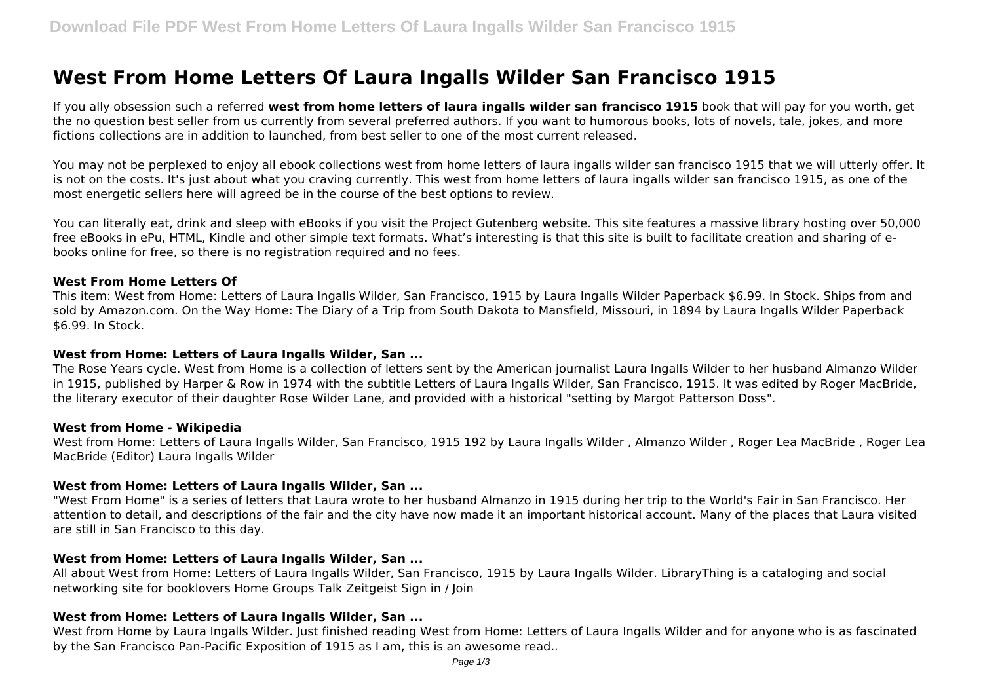# **West From Home Letters Of Laura Ingalls Wilder San Francisco 1915**

If you ally obsession such a referred **west from home letters of laura ingalls wilder san francisco 1915** book that will pay for you worth, get the no question best seller from us currently from several preferred authors. If you want to humorous books, lots of novels, tale, jokes, and more fictions collections are in addition to launched, from best seller to one of the most current released.

You may not be perplexed to enjoy all ebook collections west from home letters of laura ingalls wilder san francisco 1915 that we will utterly offer. It is not on the costs. It's just about what you craving currently. This west from home letters of laura ingalls wilder san francisco 1915, as one of the most energetic sellers here will agreed be in the course of the best options to review.

You can literally eat, drink and sleep with eBooks if you visit the Project Gutenberg website. This site features a massive library hosting over 50,000 free eBooks in ePu, HTML, Kindle and other simple text formats. What's interesting is that this site is built to facilitate creation and sharing of ebooks online for free, so there is no registration required and no fees.

#### **West From Home Letters Of**

This item: West from Home: Letters of Laura Ingalls Wilder, San Francisco, 1915 by Laura Ingalls Wilder Paperback \$6.99. In Stock. Ships from and sold by Amazon.com. On the Way Home: The Diary of a Trip from South Dakota to Mansfield, Missouri, in 1894 by Laura Ingalls Wilder Paperback \$6.99. In Stock.

#### **West from Home: Letters of Laura Ingalls Wilder, San ...**

The Rose Years cycle. West from Home is a collection of letters sent by the American journalist Laura Ingalls Wilder to her husband Almanzo Wilder in 1915, published by Harper & Row in 1974 with the subtitle Letters of Laura Ingalls Wilder, San Francisco, 1915. It was edited by Roger MacBride, the literary executor of their daughter Rose Wilder Lane, and provided with a historical "setting by Margot Patterson Doss".

#### **West from Home - Wikipedia**

West from Home: Letters of Laura Ingalls Wilder, San Francisco, 1915 192 by Laura Ingalls Wilder , Almanzo Wilder , Roger Lea MacBride , Roger Lea MacBride (Editor) Laura Ingalls Wilder

# **West from Home: Letters of Laura Ingalls Wilder, San ...**

"West From Home" is a series of letters that Laura wrote to her husband Almanzo in 1915 during her trip to the World's Fair in San Francisco. Her attention to detail, and descriptions of the fair and the city have now made it an important historical account. Many of the places that Laura visited are still in San Francisco to this day.

# **West from Home: Letters of Laura Ingalls Wilder, San ...**

All about West from Home: Letters of Laura Ingalls Wilder, San Francisco, 1915 by Laura Ingalls Wilder. LibraryThing is a cataloging and social networking site for booklovers Home Groups Talk Zeitgeist Sign in / Join

# **West from Home: Letters of Laura Ingalls Wilder, San ...**

West from Home by Laura Ingalls Wilder. Just finished reading West from Home: Letters of Laura Ingalls Wilder and for anyone who is as fascinated by the San Francisco Pan-Pacific Exposition of 1915 as I am, this is an awesome read..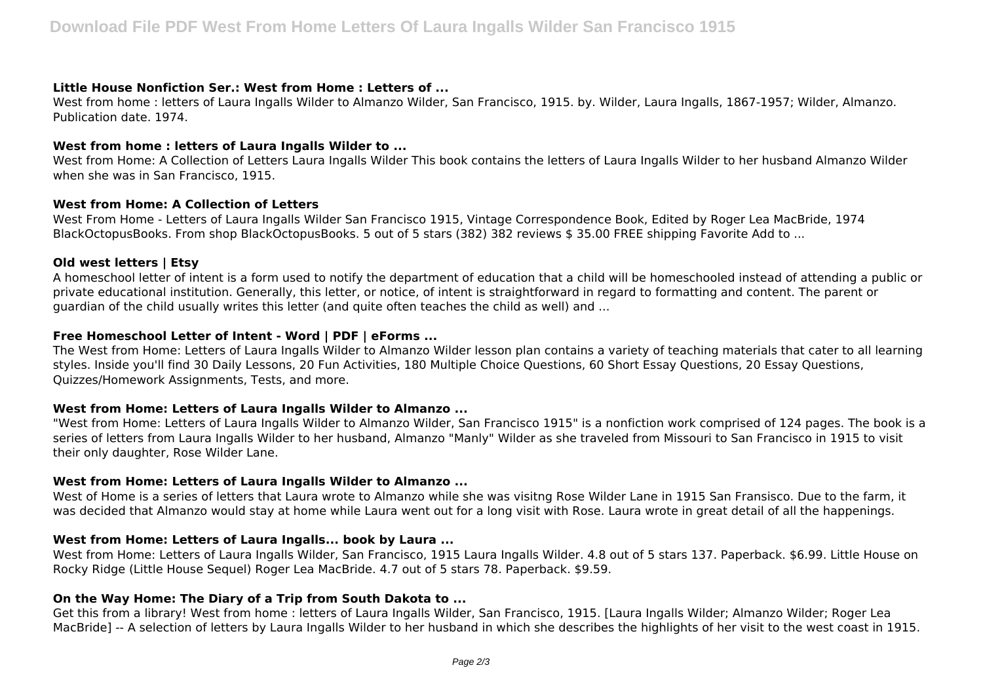# **Little House Nonfiction Ser.: West from Home : Letters of ...**

West from home : letters of Laura Ingalls Wilder to Almanzo Wilder, San Francisco, 1915. by. Wilder, Laura Ingalls, 1867-1957; Wilder, Almanzo. Publication date. 1974.

#### **West from home : letters of Laura Ingalls Wilder to ...**

West from Home: A Collection of Letters Laura Ingalls Wilder This book contains the letters of Laura Ingalls Wilder to her husband Almanzo Wilder when she was in San Francisco, 1915.

#### **West from Home: A Collection of Letters**

West From Home - Letters of Laura Ingalls Wilder San Francisco 1915, Vintage Correspondence Book, Edited by Roger Lea MacBride, 1974 BlackOctopusBooks. From shop BlackOctopusBooks. 5 out of 5 stars (382) 382 reviews \$ 35.00 FREE shipping Favorite Add to ...

# **Old west letters | Etsy**

A homeschool letter of intent is a form used to notify the department of education that a child will be homeschooled instead of attending a public or private educational institution. Generally, this letter, or notice, of intent is straightforward in regard to formatting and content. The parent or guardian of the child usually writes this letter (and quite often teaches the child as well) and ...

# **Free Homeschool Letter of Intent - Word | PDF | eForms ...**

The West from Home: Letters of Laura Ingalls Wilder to Almanzo Wilder lesson plan contains a variety of teaching materials that cater to all learning styles. Inside you'll find 30 Daily Lessons, 20 Fun Activities, 180 Multiple Choice Questions, 60 Short Essay Questions, 20 Essay Questions, Quizzes/Homework Assignments, Tests, and more.

# **West from Home: Letters of Laura Ingalls Wilder to Almanzo ...**

"West from Home: Letters of Laura Ingalls Wilder to Almanzo Wilder, San Francisco 1915" is a nonfiction work comprised of 124 pages. The book is a series of letters from Laura Ingalls Wilder to her husband, Almanzo "Manly" Wilder as she traveled from Missouri to San Francisco in 1915 to visit their only daughter, Rose Wilder Lane.

# **West from Home: Letters of Laura Ingalls Wilder to Almanzo ...**

West of Home is a series of letters that Laura wrote to Almanzo while she was visitng Rose Wilder Lane in 1915 San Fransisco. Due to the farm, it was decided that Almanzo would stay at home while Laura went out for a long visit with Rose. Laura wrote in great detail of all the happenings.

# **West from Home: Letters of Laura Ingalls... book by Laura ...**

West from Home: Letters of Laura Ingalls Wilder, San Francisco, 1915 Laura Ingalls Wilder. 4.8 out of 5 stars 137. Paperback. \$6.99. Little House on Rocky Ridge (Little House Sequel) Roger Lea MacBride. 4.7 out of 5 stars 78. Paperback. \$9.59.

# **On the Way Home: The Diary of a Trip from South Dakota to ...**

Get this from a library! West from home : letters of Laura Ingalls Wilder, San Francisco, 1915. [Laura Ingalls Wilder; Almanzo Wilder; Roger Lea MacBride] -- A selection of letters by Laura Ingalls Wilder to her husband in which she describes the highlights of her visit to the west coast in 1915.